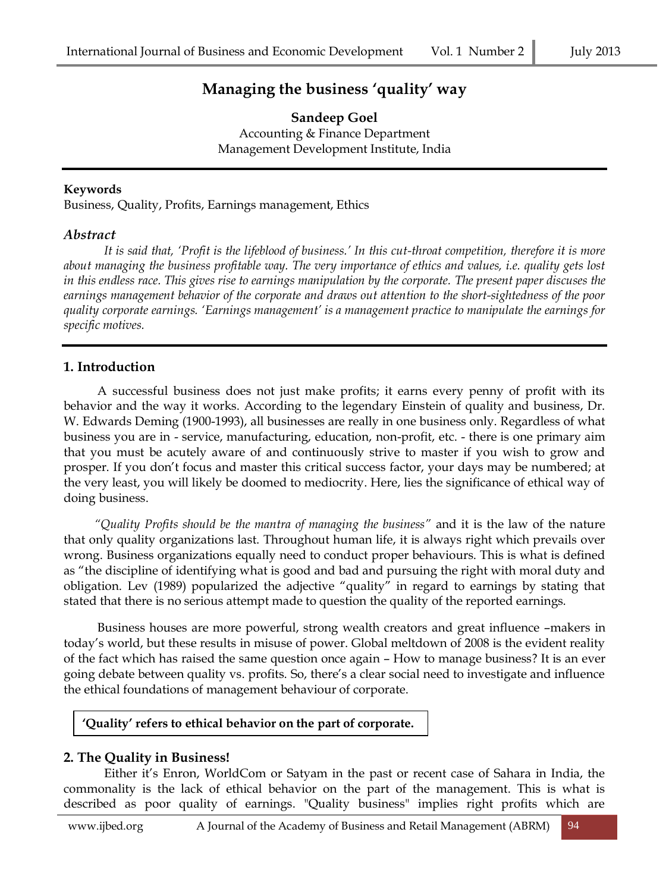# **Managing the business 'quality' way**

**Sandeep Goel** Accounting & Finance Department Management Development Institute, India

#### **Keywords**

Business, Quality, Profits, Earnings management, Ethics

#### *Abstract*

*It is said that, 'Profit is the lifeblood of business.' In this cut-throat competition, therefore it is more about managing the business profitable way. The very importance of ethics and values, i.e. quality gets lost in this endless race. This gives rise to earnings manipulation by the corporate. The present paper discuses the earnings management behavior of the corporate and draws out attention to the short-sightedness of the poor quality corporate earnings. 'Earnings management' is a management practice to manipulate the earnings for specific motives.* 

## **1. Introduction**

 A successful business does not just make profits; it earns every penny of profit with its behavior and the way it works. According to the legendary Einstein of quality and business, Dr. W. Edwards Deming (1900-1993), all businesses are really in one business only. Regardless of what business you are in - service, manufacturing, education, non-profit, etc. - there is one primary aim that you must be acutely aware of and continuously strive to master if you wish to grow and prosper. If you don't focus and master this critical success factor, your days may be numbered; at the very least, you will likely be doomed to mediocrity. Here, lies the significance of ethical way of doing business.

 *"Quality Profits should be the mantra of managing the business"* and it is the law of the nature that only quality organizations last. Throughout human life, it is always right which prevails over wrong. Business organizations equally need to conduct proper behaviours. This is what is defined as "the discipline of identifying what is good and bad and pursuing the right with moral duty and obligation. Lev (1989) popularized the adjective "quality" in regard to earnings by stating that stated that there is no serious attempt made to question the quality of the reported earnings.

 Business houses are more powerful, strong wealth creators and great influence –makers in today's world, but these results in misuse of power. Global meltdown of 2008 is the evident reality of the fact which has raised the same question once again – How to manage business? It is an ever going debate between quality vs. profits. So, there's a clear social need to investigate and influence the ethical foundations of management behaviour of corporate.

## **'Quality' refers to ethical behavior on the part of corporate.**

## **2. The Quality in Business!**

Either it's Enron, WorldCom or Satyam in the past or recent case of Sahara in India, the commonality is the lack of ethical behavior on the part of the management. This is what is described as poor quality of earnings. "Quality business" implies right profits which are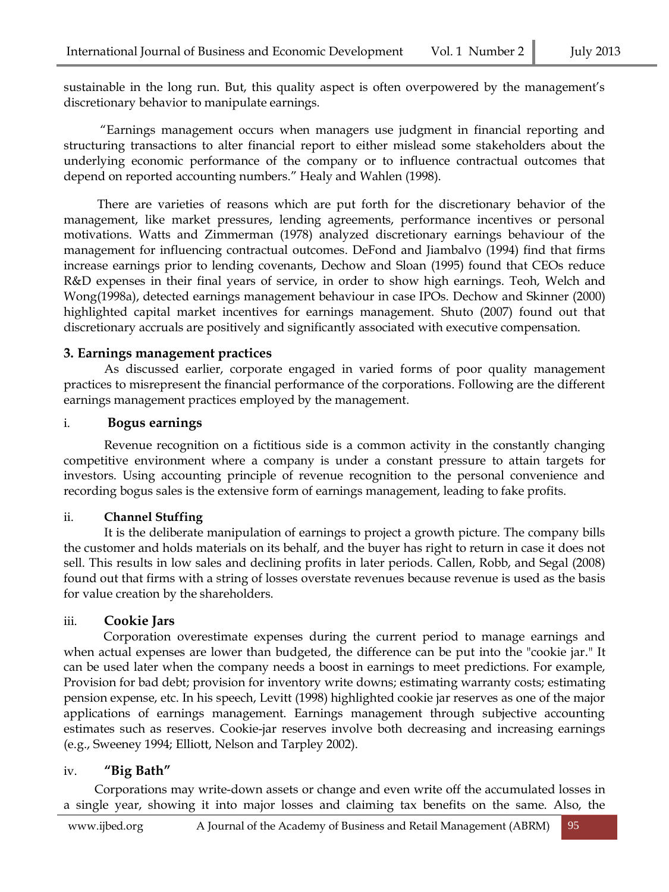sustainable in the long run. But, this quality aspect is often overpowered by the management's discretionary behavior to manipulate earnings.

 "Earnings management occurs when managers use judgment in financial reporting and structuring transactions to alter financial report to either mislead some stakeholders about the underlying economic performance of the company or to influence contractual outcomes that depend on reported accounting numbers." Healy and Wahlen (1998).

 There are varieties of reasons which are put forth for the discretionary behavior of the management, like market pressures, lending agreements, performance incentives or personal motivations. Watts and Zimmerman (1978) analyzed discretionary earnings behaviour of the management for influencing contractual outcomes. DeFond and Jiambalvo (1994) find that firms increase earnings prior to lending covenants, Dechow and Sloan (1995) found that CEOs reduce R&D expenses in their final years of service, in order to show high earnings. Teoh, Welch and Wong(1998a), detected earnings management behaviour in case IPOs. Dechow and Skinner (2000) highlighted capital market incentives for earnings management. Shuto (2007) found out that discretionary accruals are positively and significantly associated with executive compensation.

#### **3. Earnings management practices**

As discussed earlier, corporate engaged in varied forms of poor quality management practices to misrepresent the financial performance of the corporations. Following are the different earnings management practices employed by the management.

#### i. **Bogus earnings**

Revenue recognition on a fictitious side is a common activity in the constantly changing competitive environment where a company is under a constant pressure to attain targets for investors. Using accounting principle of revenue recognition to the personal convenience and recording bogus sales is the extensive form of earnings management, leading to fake profits.

#### ii. **Channel Stuffing**

It is the deliberate manipulation of earnings to project a growth picture. The company bills the customer and holds materials on its behalf, and the buyer has right to return in case it does not sell. This results in low sales and declining profits in later periods. Callen, Robb, and Segal (2008) found out that firms with a string of losses overstate revenues because revenue is used as the basis for value creation by the shareholders.

#### iii. **Cookie Jars**

 Corporation overestimate expenses during the current period to manage earnings and when actual expenses are lower than budgeted, the difference can be put into the "cookie jar." It can be used later when the company needs a boost in earnings to meet predictions. For example, Provision for bad debt; provision for inventory write downs; estimating warranty costs; estimating pension expense, etc. In his speech, Levitt (1998) highlighted cookie jar reserves as one of the major applications of earnings management. Earnings management through subjective accounting estimates such as reserves. Cookie-jar reserves involve both decreasing and increasing earnings (e.g., Sweeney 1994; Elliott, Nelson and Tarpley 2002).

#### iv. **"Big Bath"**

 Corporations may write-down assets or change and even write off the accumulated losses in a single year, showing it into major losses and claiming tax benefits on the same. Also, the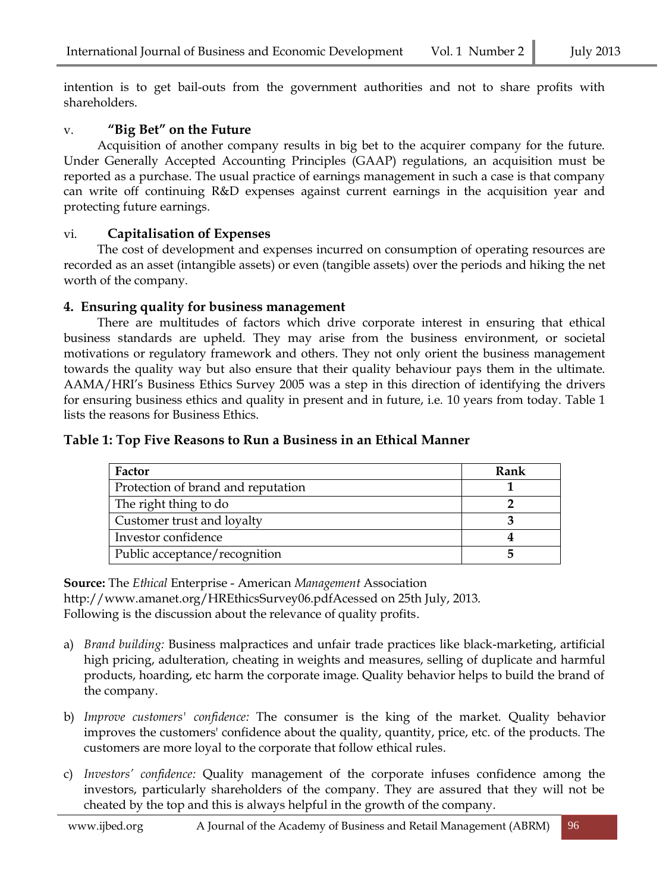intention is to get bail-outs from the government authorities and not to share profits with shareholders.

## v. **"Big Bet" on the Future**

 Acquisition of another company results in big bet to the acquirer company for the future. Under Generally Accepted Accounting Principles (GAAP) regulations, an acquisition must be reported as a purchase. The usual practice of earnings management in such a case is that company can write off continuing R&D expenses against current earnings in the acquisition year and protecting future earnings.

## vi. **Capitalisation of Expenses**

 The cost of development and expenses incurred on consumption of operating resources are recorded as an asset (intangible assets) or even (tangible assets) over the periods and hiking the net worth of the company.

#### **4. Ensuring quality for business management**

 There are multitudes of factors which drive corporate interest in ensuring that ethical business standards are upheld. They may arise from the business environment, or societal motivations or regulatory framework and others. They not only orient the business management towards the quality way but also ensure that their quality behaviour pays them in the ultimate. AAMA/HRI's Business Ethics Survey 2005 was a step in this direction of identifying the drivers for ensuring business ethics and quality in present and in future, i.e. 10 years from today. Table 1 lists the reasons for Business Ethics.

#### **Table 1: Top Five Reasons to Run a Business in an Ethical Manner**

| Factor                             | Rank |
|------------------------------------|------|
| Protection of brand and reputation |      |
| The right thing to do              |      |
| Customer trust and loyalty         |      |
| Investor confidence                |      |
| Public acceptance/recognition      |      |

**Source:** The *Ethical* Enterprise - American *[Management](http://www.google.co.in/url?sa=t&rct=j&q=&esrc=s&source=web&cd=2&ved=0CD8QFjAB&url=http%3A%2F%2Fwww.amanet.org%2FHREthicsSurvey06.pdf&ei=RU79UdjoI8a_rgfs8YCwDw&usg=AFQjCNEDjLUoCiOgLuzmMHzU1IQkIxiJVA)* Association <http://www.amanet.org/HREthicsSurvey06.pdfAcessed> on 25th July, 2013. Following is the discussion about the relevance of quality profits.

- a) *Brand building:* [Business](http://kalyan-city.blogspot.com/2011/03/what-is-business-meaning-definitions.html) malpractices and unfair [trade](http://kalyan-city.blogspot.com/2011/03/what-is-trade-meaning-and-nature.html) practices like black-marketing, artificial high pricing, adulteration, cheating in weights and measures, selling of duplicate and harmful products, hoarding, etc harm the corporate image. Quality behavior helps to build the brand of the company.
- b) *Improve customers' confidence:* The consumer is the king of the market. Quality behavior improves the customers' confidence about the quality, quantity, price, etc. of the products. The customers are more loyal to the corporate that follow ethical rules.
- c) *Investors' confidence:* Quality management of the corporate infuses confidence among the investors, particularly shareholders of the company. They are assured that they will not be cheated by the top and this is always helpful in the growth of the company.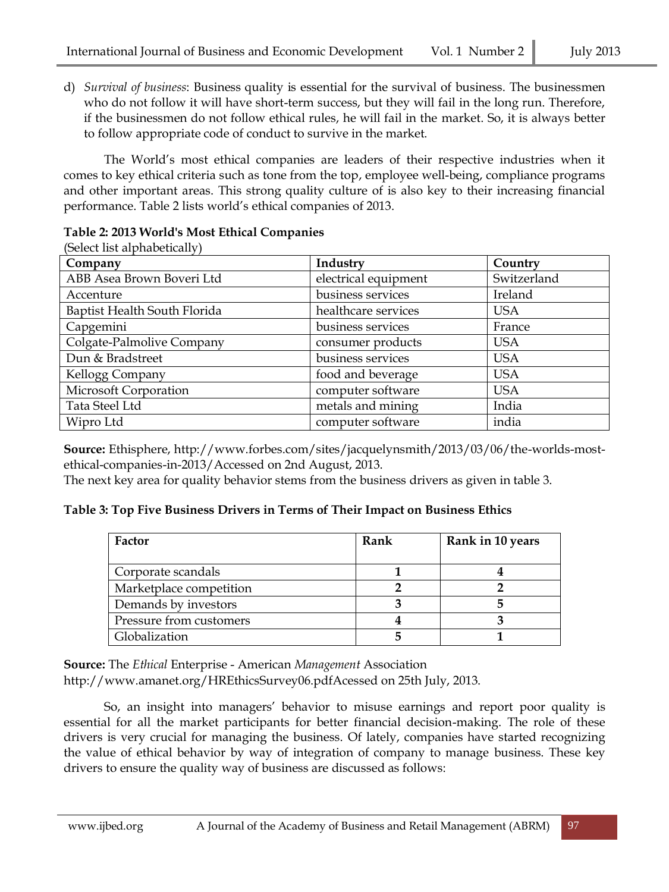d) *Survival of business*: Business quality is essential for the survival of business. The businessmen who do not follow it will have short-term success, but they will fail in the long run. Therefore, if the businessmen do not follow ethical rules, he will fail in the [market.](http://kalyan-city.blogspot.com/2010/11/what-is-market-types-and-classification.html) So, it is always better to follow appropriate code of conduct to survive in the market.

The World's most ethical companies are leaders of their respective industries when it comes to key ethical criteria such as tone from the top, employee well-being, compliance programs and other important areas. This strong quality culture of is also key to their increasing financial performance. Table 2 lists world's ethical companies of 2013.

## **Table 2: 2013 World's Most Ethical Companies**

(Select list alphabetically)

| Company                      | Industry             | Country     |
|------------------------------|----------------------|-------------|
| ABB Asea Brown Boveri Ltd    | electrical equipment | Switzerland |
| Accenture                    | business services    | Ireland     |
| Baptist Health South Florida | healthcare services  | <b>USA</b>  |
| Capgemini                    | business services    | France      |
| Colgate-Palmolive Company    | consumer products    | <b>USA</b>  |
| Dun & Bradstreet             | business services    | <b>USA</b>  |
| Kellogg Company              | food and beverage    | <b>USA</b>  |
| <b>Microsoft Corporation</b> | computer software    | <b>USA</b>  |
| Tata Steel Ltd               | metals and mining    | India       |
| Wipro Ltd                    | computer software    | india       |

**Source:** Ethisphere, [http://www.forbes.com/sites/jacquelynsmith/2013/03/06/the-worlds-most](http://www.forbes.com/sites/jacquelynsmith/2013/03/06/the-worlds-most-ethical-companies-in-2013/Accessed)[ethical-companies-in-2013/Accessed](http://www.forbes.com/sites/jacquelynsmith/2013/03/06/the-worlds-most-ethical-companies-in-2013/Accessed) on 2nd August, 2013.

The next key area for quality behavior stems from the business drivers as given in table 3.

## **Table 3: Top Five Business Drivers in Terms of Their Impact on Business Ethics**

| Factor                  | Rank | Rank in 10 years |
|-------------------------|------|------------------|
| Corporate scandals      |      |                  |
| Marketplace competition |      |                  |
| Demands by investors    |      |                  |
| Pressure from customers |      |                  |
| Globalization           |      |                  |

**Source:** The *Ethical* Enterprise - American *[Management](http://www.google.co.in/url?sa=t&rct=j&q=&esrc=s&source=web&cd=2&ved=0CD8QFjAB&url=http%3A%2F%2Fwww.amanet.org%2FHREthicsSurvey06.pdf&ei=RU79UdjoI8a_rgfs8YCwDw&usg=AFQjCNEDjLUoCiOgLuzmMHzU1IQkIxiJVA)* Association <http://www.amanet.org/HREthicsSurvey06.pdfAcessed> on 25th July, 2013.

So, an insight into managers' behavior to misuse earnings and report poor quality is essential for all the market participants for better financial decision-making. The role of these drivers is very crucial for managing the business. Of lately, companies have started recognizing the value of ethical behavior by way of integration of company to manage business. These key drivers to ensure the quality way of business are discussed as follows: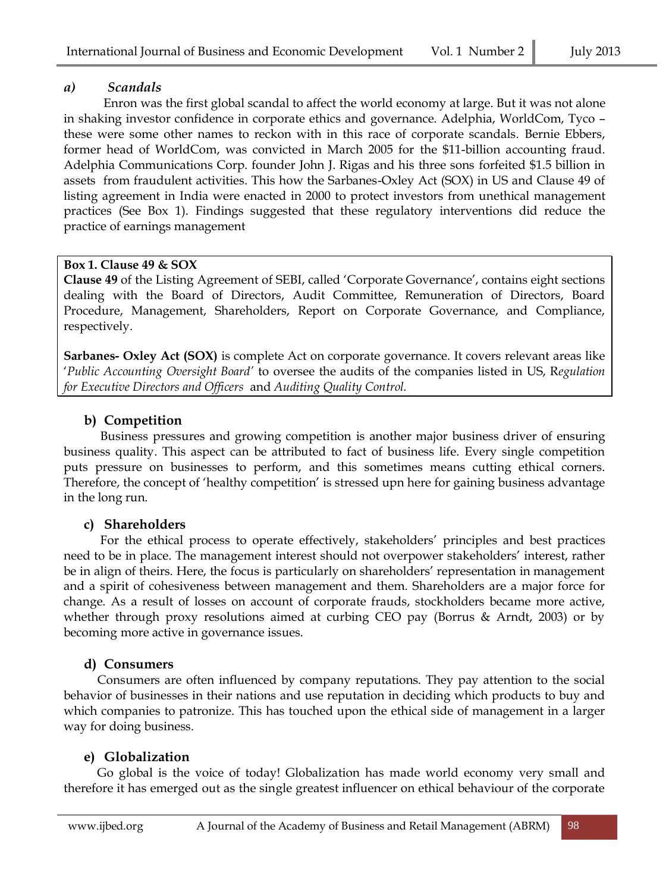## *a) Scandals*

 Enron was the first global scandal to affect the world economy at large. But it was not alone in shaking investor confidence in corporate ethics and governance. Adelphia, WorldCom, Tyco – these were some other names to reckon with in this race of corporate scandals. Bernie Ebbers, former head of WorldCom, was convicted in March 2005 for the \$11-billion accounting fraud. Adelphia Communications Corp. founder John J. Rigas and his three sons forfeited \$1.5 billion in assets from fraudulent activities. This how the Sarbanes-Oxley Act (SOX) in US and Clause 49 of listing agreement in India were enacted in 2000 to protect investors from unethical management practices (See Box 1). Findings suggested that these regulatory interventions did reduce the practice of earnings management

## **Box 1. Clause 49 & SOX**

**Clause 49** of the Listing Agreement of SEBI, called 'Corporate Governance', contains eight sections dealing with the Board of Directors, Audit Committee, Remuneration of Directors, Board Procedure, Management, Shareholders, Report on Corporate Governance, and Compliance, respectively.

**Sarbanes- Oxley Act (SOX)** is complete Act on corporate governance. It covers relevant areas like '*Public Accounting Oversight Board'* to oversee the audits of the companies listed in US, R*egulation for Executive Directors and Officers* and *Auditing Quality Control.*

## **b) Competition**

 Business pressures and growing competition is another major business driver of ensuring business quality. This aspect can be attributed to fact of business life. Every single competition puts pressure on businesses to perform, and this sometimes means cutting ethical corners. Therefore, the concept of 'healthy competition' is stressed upn here for gaining business advantage in the long run.

## **c) Shareholders**

 For the ethical process to operate effectively, stakeholders' principles and best practices need to be in place. The management interest should not overpower stakeholders' interest, rather be in align of theirs. Here, the focus is particularly on shareholders' representation in management and a spirit of cohesiveness between management and them. Shareholders are a major force for change. As a result of losses on account of corporate frauds, stockholders became more active, whether through proxy resolutions aimed at curbing CEO pay (Borrus & Arndt, 2003) or by becoming more active in governance issues.

## **d) Consumers**

 Consumers are often influenced by company reputations. They pay attention to the social behavior of businesses in their nations and use reputation in deciding which products to buy and which companies to patronize. This has touched upon the ethical side of management in a larger way for doing business.

## **e) Globalization**

 Go global is the voice of today! Globalization has made world economy very small and therefore it has emerged out as the single greatest influencer on ethical behaviour of the corporate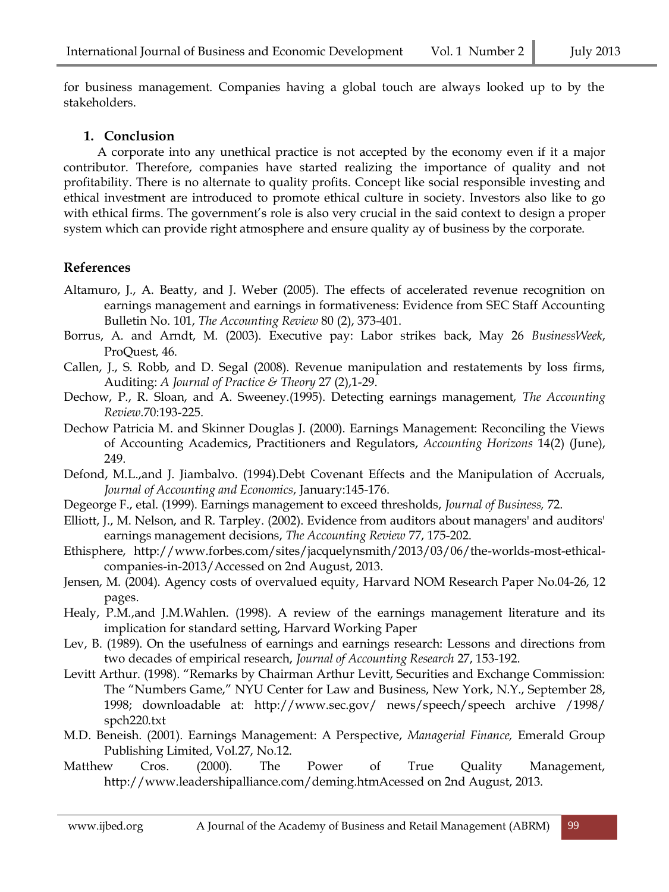for business management. Companies having a global touch are always looked up to by the stakeholders.

## **1. Conclusion**

A corporate into any unethical practice is not accepted by the economy even if it a major contributor. Therefore, companies have started realizing the importance of quality and not profitability. There is no alternate to quality profits. Concept like social responsible investing and ethical investment are introduced to promote ethical culture in society. Investors also like to go with ethical firms. The government's role is also very crucial in the said context to design a proper system which can provide right atmosphere and ensure quality ay of business by the corporate.

## **References**

- Altamuro, J., A. Beatty, and J. Weber (2005). The effects of accelerated revenue recognition on earnings management and earnings in formativeness: Evidence from SEC Staff Accounting Bulletin No. 101, *The Accounting Review* 80 (2), 373-401.
- Borrus, A. and Arndt, M. (2003). Executive pay: Labor strikes back, May 26 *BusinessWeek*, ProQuest, 46.
- Callen, J., S. Robb, and D. Segal (2008). Revenue manipulation and restatements by loss firms, Auditing: *A Journal of Practice & Theory* 27 (2),1-29.
- Dechow, P., R. Sloan, and A. Sweeney.(1995). Detecting earnings management, *The Accounting Review*.70:193-225.
- Dechow Patricia M. and Skinner Douglas J. (2000). Earnings Management: Reconciling the Views of Accounting Academics, Practitioners and Regulators, *Accounting Horizons* 14(2) (June), 249.
- Defond, M.L.,and J. Jiambalvo. (1994).Debt Covenant Effects and the Manipulation of Accruals, *Journal of Accounting and Economics*, January:145-176.
- Degeorge F., etal. (1999). Earnings management to exceed thresholds, *Journal of Business,* 72.
- Elliott, J., M. Nelson, and R. Tarpley. (2002). Evidence from auditors about managers' and auditors' earnings management decisions, *The Accounting Review* 77, 175-202.
- Ethisphere, [http://www.forbes.com/sites/jacquelynsmith/2013/03/06/the-worlds-most-ethical](http://www.forbes.com/sites/jacquelynsmith/2013/03/06/the-worlds-most-ethical-companies-in-2013/Accessed)[companies-in-2013/Accessed](http://www.forbes.com/sites/jacquelynsmith/2013/03/06/the-worlds-most-ethical-companies-in-2013/Accessed) on 2nd August, 2013.
- Jensen, M. (2004). Agency costs of overvalued equity, Harvard NOM Research Paper No.04-26, 12 pages.
- Healy, P.M.,and J.M.Wahlen. (1998). A review of the earnings management literature and its implication for standard setting, Harvard Working Paper
- Lev, B. (1989). On the usefulness of earnings and earnings research: Lessons and directions from two decades of empirical research, *Journal of Accounting Research* 27, 153-192.
- Levitt Arthur. (1998). "Remarks by Chairman Arthur Levitt, Securities and Exchange Commission: The "Numbers Game," NYU Center for Law and Business, New York, N.Y., September 28, 1998; downloadable at: [http://www.sec.gov/ news/speech/speech archive](http://www.sec.gov/%20news/speech/speecharchive%20/1998/%20spch220.txt) /1998/ [spch220.txt](http://www.sec.gov/%20news/speech/speecharchive%20/1998/%20spch220.txt)
- M.D. Beneish. (2001). Earnings Management: A Perspective, *Managerial Finance,* Emerald Group Publishing Limited, Vol.27, No.12.
- Matthew Cros. (2000). The Power of True Quality Management, <http://www.leadershipalliance.com/deming.htmAcessed> on 2nd August, 2013.